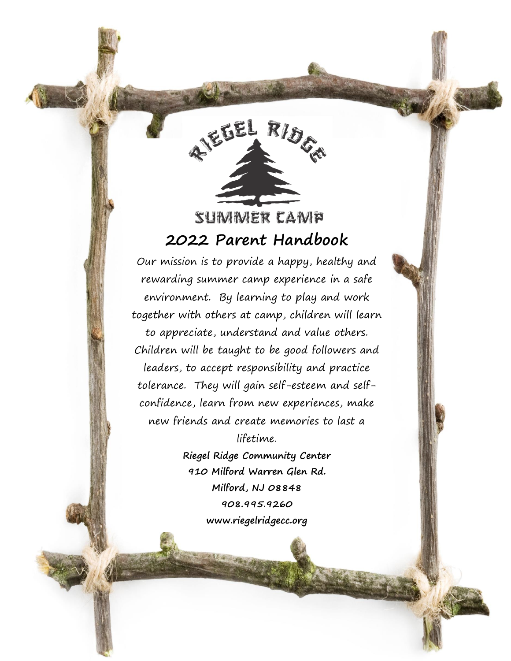

## SUMMER CAMP **2022 Parent Handbook**

Our mission is to provide a happy, healthy and rewarding summer camp experience in a safe environment. By learning to play and work together with others at camp, children will learn to appreciate, understand and value others. Children will be taught to be good followers and leaders, to accept responsibility and practice tolerance. They will gain self-esteem and selfconfidence, learn from new experiences, make new friends and create memories to last a lifetime.

**Riegel Ridge Community Center 910 Milford Warren Glen Rd. Milford, NJ 08848 908.995.9260 www.riegelridgecc.org**

Riegel Ridge Summer Camp has a rich history serving the youth of our community as far back as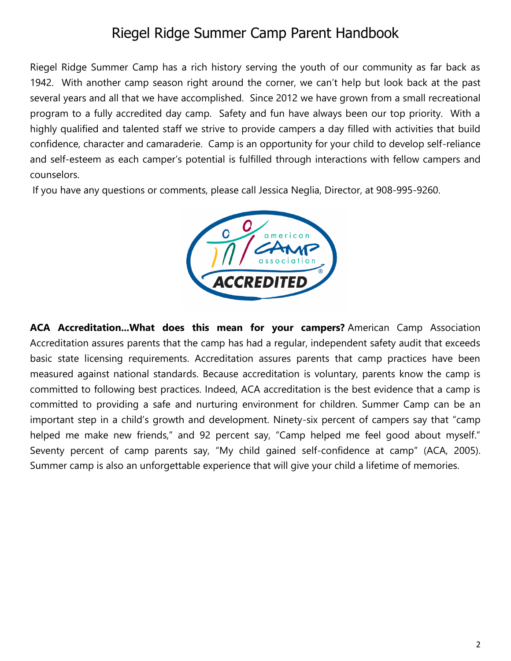Riegel Ridge Summer Camp has a rich history serving the youth of our community as far back as 1942. With another camp season right around the corner, we can't help but look back at the past several years and all that we have accomplished. Since 2012 we have grown from a small recreational program to a fully accredited day camp. Safety and fun have always been our top priority. With a highly qualified and talented staff we strive to provide campers a day filled with activities that build confidence, character and camaraderie. Camp is an opportunity for your child to develop self-reliance and self-esteem as each camper's potential is fulfilled through interactions with fellow campers and counselors.

If you have any questions or comments, please call Jessica Neglia, Director, at 908-995-9260.



**ACA Accreditation...What does this mean for your campers?** American Camp Association Accreditation assures parents that the camp has had a regular, independent safety audit that exceeds basic state licensing requirements. Accreditation assures parents that camp practices have been measured against national standards. Because accreditation is voluntary, parents know the camp is committed to following best practices. Indeed, ACA accreditation is the best evidence that a camp is committed to providing a safe and nurturing environment for children. Summer Camp can be an important step in a child's growth and development. Ninety-six percent of campers say that "camp helped me make new friends," and 92 percent say, "Camp helped me feel good about myself." Seventy percent of camp parents say, "My child gained self-confidence at camp" (ACA, 2005). Summer camp is also an unforgettable experience that will give your child a lifetime of memories.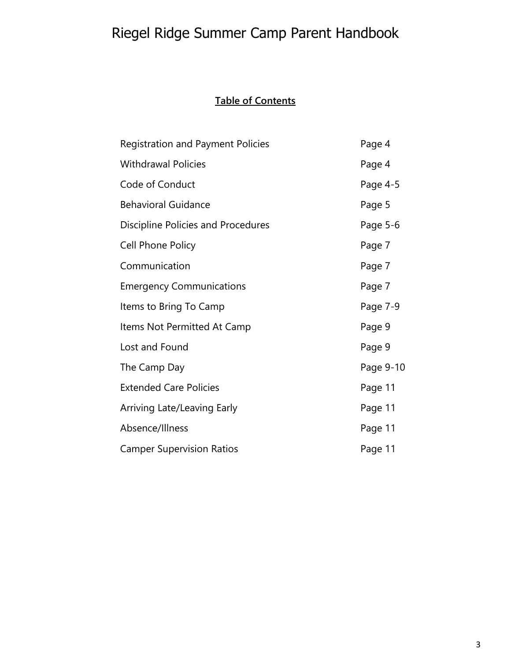### **Table of Contents**

| <b>Registration and Payment Policies</b> | Page 4    |
|------------------------------------------|-----------|
| <b>Withdrawal Policies</b>               | Page 4    |
| Code of Conduct                          | Page 4-5  |
| <b>Behavioral Guidance</b>               | Page 5    |
| Discipline Policies and Procedures       | Page 5-6  |
| <b>Cell Phone Policy</b>                 | Page 7    |
| Communication                            | Page 7    |
| <b>Emergency Communications</b>          | Page 7    |
| Items to Bring To Camp                   | Page 7-9  |
| Items Not Permitted At Camp              | Page 9    |
| Lost and Found                           | Page 9    |
| The Camp Day                             | Page 9-10 |
| <b>Extended Care Policies</b>            | Page 11   |
| Arriving Late/Leaving Early              | Page 11   |
| Absence/Illness                          | Page 11   |
| <b>Camper Supervision Ratios</b>         | Page 11   |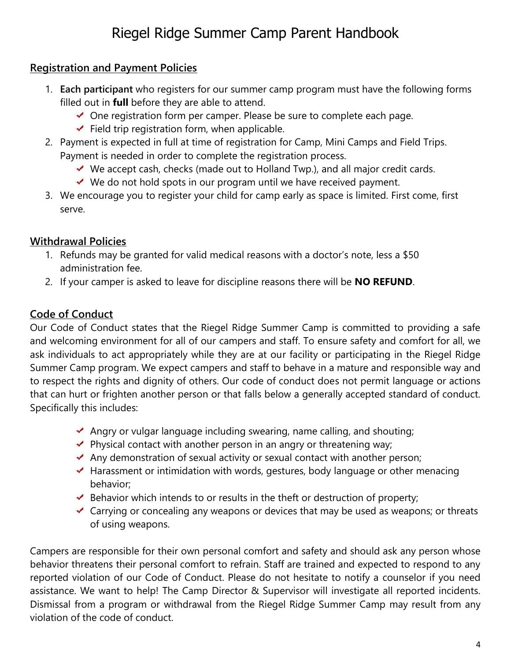#### **Registration and Payment Policies**

- 1. **Each participant** who registers for our summer camp program must have the following forms filled out in **full** before they are able to attend.
	- ◆ One registration form per camper. Please be sure to complete each page.
	- $\blacktriangleright$  Field trip registration form, when applicable.
- 2. Payment is expected in full at time of registration for Camp, Mini Camps and Field Trips. Payment is needed in order to complete the registration process.
	- $\vee$  We accept cash, checks (made out to Holland Twp.), and all major credit cards.
	- $\vee$  We do not hold spots in our program until we have received payment.
- 3. We encourage you to register your child for camp early as space is limited. First come, first serve.

#### **Withdrawal Policies**

- 1. Refunds may be granted for valid medical reasons with a doctor's note, less a \$50 administration fee.
- 2. If your camper is asked to leave for discipline reasons there will be **NO REFUND**.

#### **Code of Conduct**

Our Code of Conduct states that the Riegel Ridge Summer Camp is committed to providing a safe and welcoming environment for all of our campers and staff. To ensure safety and comfort for all, we ask individuals to act appropriately while they are at our facility or participating in the Riegel Ridge Summer Camp program. We expect campers and staff to behave in a mature and responsible way and to respect the rights and dignity of others. Our code of conduct does not permit language or actions that can hurt or frighten another person or that falls below a generally accepted standard of conduct. Specifically this includes:

- Angry or vulgar language including swearing, name calling, and shouting;
- $\blacktriangleright$  Physical contact with another person in an angry or threatening way;
- Any demonstration of sexual activity or sexual contact with another person;
- $\blacktriangleright$  Harassment or intimidation with words, gestures, body language or other menacing behavior;
- $\blacktriangleright$  Behavior which intends to or results in the theft or destruction of property;
- $\blacktriangleright$  Carrying or concealing any weapons or devices that may be used as weapons; or threats of using weapons.

Campers are responsible for their own personal comfort and safety and should ask any person whose behavior threatens their personal comfort to refrain. Staff are trained and expected to respond to any reported violation of our Code of Conduct. Please do not hesitate to notify a counselor if you need assistance. We want to help! The Camp Director & Supervisor will investigate all reported incidents. Dismissal from a program or withdrawal from the Riegel Ridge Summer Camp may result from any violation of the code of conduct.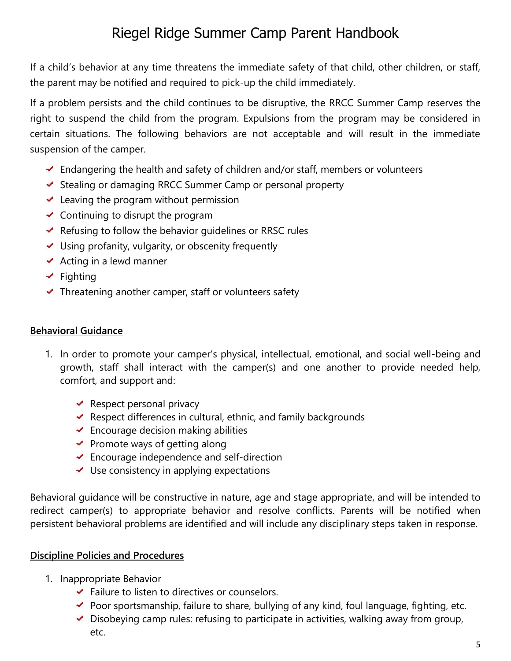If a child's behavior at any time threatens the immediate safety of that child, other children, or staff, the parent may be notified and required to pick-up the child immediately.

If a problem persists and the child continues to be disruptive, the RRCC Summer Camp reserves the right to suspend the child from the program. Expulsions from the program may be considered in certain situations. The following behaviors are not acceptable and will result in the immediate suspension of the camper.

- $\overline{\phantom{a}}$  Endangering the health and safety of children and/or staff, members or volunteers
- Stealing or damaging RRCC Summer Camp or personal property
- $\overline{\phantom{a}}$  Leaving the program without permission
- $\checkmark$  Continuing to disrupt the program
- Refusing to follow the behavior quidelines or RRSC rules
- Using profanity, vulgarity, or obscenity frequently
- $\blacktriangleright$  Acting in a lewd manner
- $\overline{\phantom{a}}$  Fighting
- $\overline{\phantom{a}}$  Threatening another camper, staff or volunteers safety

#### **Behavioral Guidance**

- 1. In order to promote your camper's physical, intellectual, emotional, and social well-being and growth, staff shall interact with the camper(s) and one another to provide needed help, comfort, and support and:
	- $\overline{\phantom{a}}$  Respect personal privacy
	- Respect differences in cultural, ethnic, and family backgrounds
	- $\overline{\phantom{a}}$  Encourage decision making abilities
	- $\blacktriangleright$  Promote ways of getting along
	- Encourage independence and self-direction
	- $\overline{\smash{\bigtriangledown}}$  Use consistency in applying expectations

Behavioral guidance will be constructive in nature, age and stage appropriate, and will be intended to redirect camper(s) to appropriate behavior and resolve conflicts. Parents will be notified when persistent behavioral problems are identified and will include any disciplinary steps taken in response.

#### **Discipline Policies and Procedures**

- 1. Inappropriate Behavior
	- $\blacktriangleright$  Failure to listen to directives or counselors.
	- Poor sportsmanship, failure to share, bullying of any kind, foul language, fighting, etc.
	- Disobeying camp rules: refusing to participate in activities, walking away from group, etc.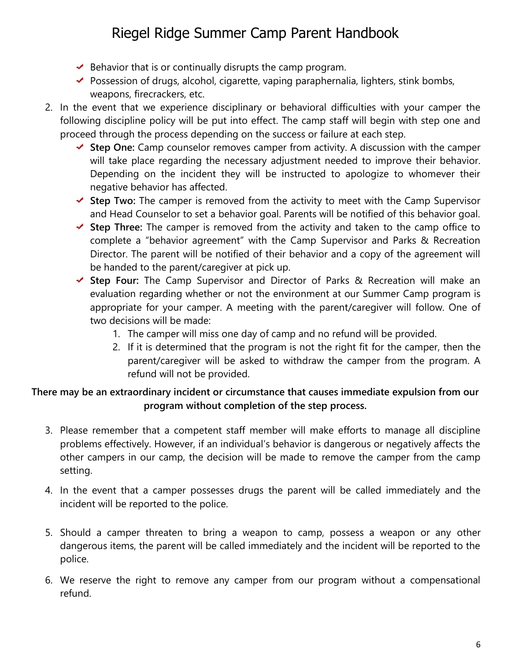- Behavior that is or continually disrupts the camp program.
- Possession of drugs, alcohol, cigarette, vaping paraphernalia, lighters, stink bombs, weapons, firecrackers, etc.
- 2. In the event that we experience disciplinary or behavioral difficulties with your camper the following discipline policy will be put into effect. The camp staff will begin with step one and proceed through the process depending on the success or failure at each step.
	- ◆ Step One: Camp counselor removes camper from activity. A discussion with the camper will take place regarding the necessary adjustment needed to improve their behavior. Depending on the incident they will be instructed to apologize to whomever their negative behavior has affected.
	- ◆ Step Two: The camper is removed from the activity to meet with the Camp Supervisor and Head Counselor to set a behavior goal. Parents will be notified of this behavior goal.
	- ◆ Step Three: The camper is removed from the activity and taken to the camp office to complete a "behavior agreement" with the Camp Supervisor and Parks & Recreation Director. The parent will be notified of their behavior and a copy of the agreement will be handed to the parent/caregiver at pick up.
	- **Step Four:** The Camp Supervisor and Director of Parks & Recreation will make an evaluation regarding whether or not the environment at our Summer Camp program is appropriate for your camper. A meeting with the parent/caregiver will follow. One of two decisions will be made:
		- 1. The camper will miss one day of camp and no refund will be provided.
		- 2. If it is determined that the program is not the right fit for the camper, then the parent/caregiver will be asked to withdraw the camper from the program. A refund will not be provided.

#### **There may be an extraordinary incident or circumstance that causes immediate expulsion from our program without completion of the step process.**

- 3. Please remember that a competent staff member will make efforts to manage all discipline problems effectively. However, if an individual's behavior is dangerous or negatively affects the other campers in our camp, the decision will be made to remove the camper from the camp setting.
- 4. In the event that a camper possesses drugs the parent will be called immediately and the incident will be reported to the police.
- 5. Should a camper threaten to bring a weapon to camp, possess a weapon or any other dangerous items, the parent will be called immediately and the incident will be reported to the police.
- 6. We reserve the right to remove any camper from our program without a compensational refund.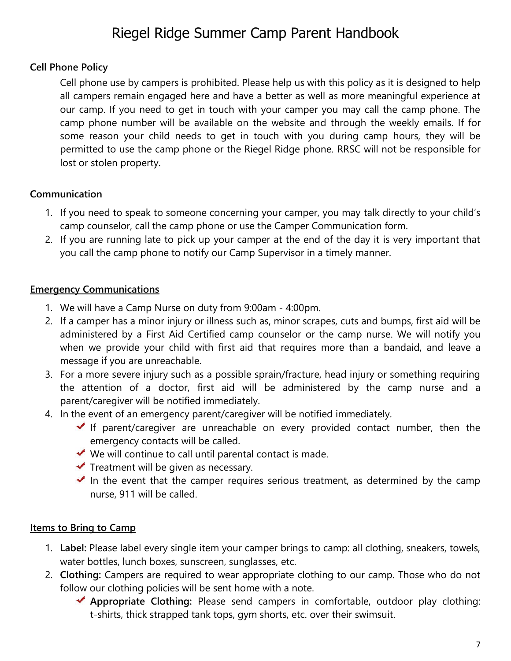#### **Cell Phone Policy**

Cell phone use by campers is prohibited. Please help us with this policy as it is designed to help all campers remain engaged here and have a better as well as more meaningful experience at our camp. If you need to get in touch with your camper you may call the camp phone. The camp phone number will be available on the website and through the weekly emails. If for some reason your child needs to get in touch with you during camp hours, they will be permitted to use the camp phone or the Riegel Ridge phone. RRSC will not be responsible for lost or stolen property.

#### **Communication**

- 1. If you need to speak to someone concerning your camper, you may talk directly to your child's camp counselor, call the camp phone or use the Camper Communication form.
- 2. If you are running late to pick up your camper at the end of the day it is very important that you call the camp phone to notify our Camp Supervisor in a timely manner.

#### **Emergency Communications**

- 1. We will have a Camp Nurse on duty from 9:00am 4:00pm.
- 2. If a camper has a minor injury or illness such as, minor scrapes, cuts and bumps, first aid will be administered by a First Aid Certified camp counselor or the camp nurse. We will notify you when we provide your child with first aid that requires more than a bandaid, and leave a message if you are unreachable.
- 3. For a more severe injury such as a possible sprain/fracture, head injury or something requiring the attention of a doctor, first aid will be administered by the camp nurse and a parent/caregiver will be notified immediately.
- 4. In the event of an emergency parent/caregiver will be notified immediately.
	- If parent/caregiver are unreachable on every provided contact number, then the emergency contacts will be called.
	- $\blacktriangleright$  We will continue to call until parental contact is made.
	- $\blacktriangleright$  Treatment will be given as necessary.
	- In the event that the camper requires serious treatment, as determined by the camp nurse, 911 will be called.

#### **Items to Bring to Camp**

- 1. **Label:** Please label every single item your camper brings to camp: all clothing, sneakers, towels, water bottles, lunch boxes, sunscreen, sunglasses, etc.
- 2. **Clothing:** Campers are required to wear appropriate clothing to our camp. Those who do not follow our clothing policies will be sent home with a note.
	- **Appropriate Clothing:** Please send campers in comfortable, outdoor play clothing: t-shirts, thick strapped tank tops, gym shorts, etc. over their swimsuit.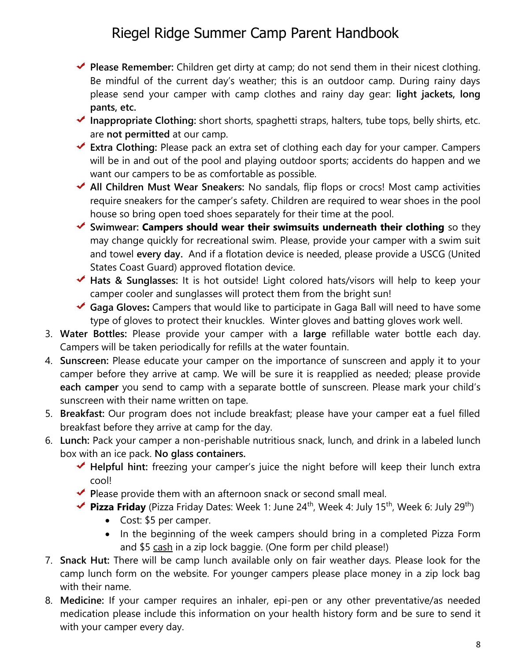- **Please Remember:** Children get dirty at camp; do not send them in their nicest clothing. Be mindful of the current day's weather; this is an outdoor camp. During rainy days please send your camper with camp clothes and rainy day gear: **light jackets, long pants, etc.**
- **Inappropriate Clothing:** short shorts, spaghetti straps, halters, tube tops, belly shirts, etc. are **not permitted** at our camp.
- **Extra Clothing:** Please pack an extra set of clothing each day for your camper. Campers will be in and out of the pool and playing outdoor sports; accidents do happen and we want our campers to be as comfortable as possible.
- **All Children Must Wear Sneakers:** No sandals, flip flops or crocs! Most camp activities require sneakers for the camper's safety. Children are required to wear shoes in the pool house so bring open toed shoes separately for their time at the pool.
- **Swimwear: Campers should wear their swimsuits underneath their clothing** so they may change quickly for recreational swim. Please, provide your camper with a swim suit and towel **every day.** And if a flotation device is needed, please provide a USCG (United States Coast Guard) approved flotation device.
- Hats & Sunglasses: It is hot outside! Light colored hats/visors will help to keep your camper cooler and sunglasses will protect them from the bright sun!
- **Gaga Gloves:** Campers that would like to participate in Gaga Ball will need to have some type of gloves to protect their knuckles. Winter gloves and batting gloves work well.
- 3. **Water Bottles:** Please provide your camper with a **large** refillable water bottle each day. Campers will be taken periodically for refills at the water fountain.
- 4. **Sunscreen:** Please educate your camper on the importance of sunscreen and apply it to your camper before they arrive at camp. We will be sure it is reapplied as needed; please provide **each camper** you send to camp with a separate bottle of sunscreen. Please mark your child's sunscreen with their name written on tape.
- 5. **Breakfast:** Our program does not include breakfast; please have your camper eat a fuel filled breakfast before they arrive at camp for the day.
- 6. **Lunch:** Pack your camper a non-perishable nutritious snack, lunch, and drink in a labeled lunch box with an ice pack. **No glass containers.**
	- **Helpful hint:** freezing your camper's juice the night before will keep their lunch extra cool!
	- Please provide them with an afternoon snack or second small meal.
	- ◆ Pizza Friday (Pizza Friday Dates: Week 1: June 24<sup>th</sup>, Week 4: July 15<sup>th</sup>, Week 6: July 29<sup>th</sup>)
		- Cost: \$5 per camper.
		- In the beginning of the week campers should bring in a completed Pizza Form and \$5 cash in a zip lock baggie. (One form per child please!)
- 7. **Snack Hut:** There will be camp lunch available only on fair weather days. Please look for the camp lunch form on the website. For younger campers please place money in a zip lock bag with their name.
- 8. **Medicine:** If your camper requires an inhaler, epi-pen or any other preventative/as needed medication please include this information on your health history form and be sure to send it with your camper every day.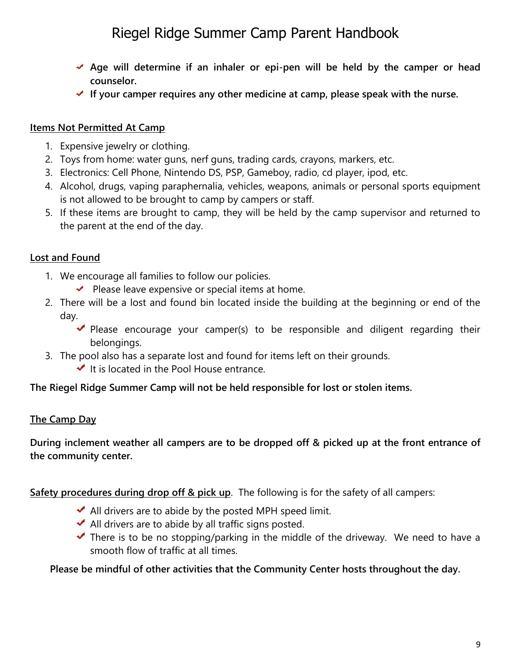- **Age will determine if an inhaler or epi-pen will be held by the camper or head counselor.**
- **If your camper requires any other medicine at camp, please speak with the nurse.**

#### **Items Not Permitted At Camp**

- 1. Expensive jewelry or clothing.
- 2. Toys from home: water guns, nerf guns, trading cards, crayons, markers, etc.
- 3. Electronics: Cell Phone, Nintendo DS, PSP, Gameboy, radio, cd player, ipod, etc.
- 4. Alcohol, drugs, vaping paraphernalia, vehicles, weapons, animals or personal sports equipment is not allowed to be brought to camp by campers or staff.
- 5. If these items are brought to camp, they will be held by the camp supervisor and returned to the parent at the end of the day.

#### **Lost and Found**

- 1. We encourage all families to follow our policies.
	- $\blacktriangleright$  Please leave expensive or special items at home.
- 2. There will be a lost and found bin located inside the building at the beginning or end of the day.
	- $\blacktriangleright$  Please encourage your camper(s) to be responsible and diligent regarding their belongings.
- 3. The pool also has a separate lost and found for items left on their grounds.
	- It is located in the Pool House entrance.

**The Riegel Ridge Summer Camp will not be held responsible for lost or stolen items.**

#### **The Camp Day**

**During inclement weather all campers are to be dropped off & picked up at the front entrance of the community center.**

**Safety procedures during drop off & pick up**. The following is for the safety of all campers:

- $\blacktriangleright$  All drivers are to abide by the posted MPH speed limit.
- $\blacktriangleright$  All drivers are to abide by all traffic signs posted.
- There is to be no stopping/parking in the middle of the driveway. We need to have a smooth flow of traffic at all times.

**Please be mindful of other activities that the Community Center hosts throughout the day.**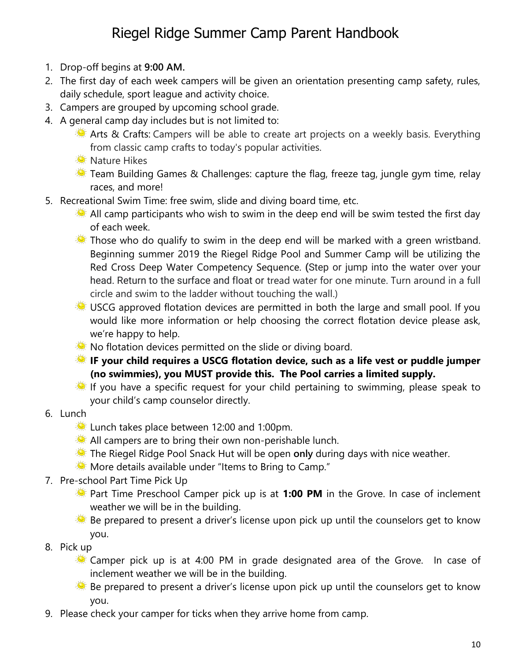- 1. Drop-off begins at **9:00 AM.**
- 2. The first day of each week campers will be given an orientation presenting camp safety, rules, daily schedule, sport league and activity choice.
- 3. Campers are grouped by upcoming school grade.
- 4. A general camp day includes but is not limited to:
	- Arts & Crafts: Campers will be able to create art projects on a weekly basis. Everything from classic camp crafts to today's popular activities.
	- **Nature Hikes**
	- Team Building Games & Challenges: capture the flag, freeze tag, jungle gym time, relay races, and more!
- 5. Recreational Swim Time: free swim, slide and diving board time, etc.
	- All camp participants who wish to swim in the deep end will be swim tested the first day of each week.
	- **Those who do qualify to swim in the deep end will be marked with a green wristband.** Beginning summer 2019 the Riegel Ridge Pool and Summer Camp will be utilizing the Red Cross Deep Water Competency Sequence. **(**Step or jump into the water over your head. Return to the surface and float or tread water for one minute. Turn around in a full circle and swim to the ladder without touching the wall.)
	- USCG approved flotation devices are permitted in both the large and small pool. If you would like more information or help choosing the correct flotation device please ask, we're happy to help.
	- No flotation devices permitted on the slide or diving board.
	- **IF your child requires a USCG flotation device, such as a life vest or puddle jumper (no swimmies), you MUST provide this. The Pool carries a limited supply.**
	- If you have a specific request for your child pertaining to swimming, please speak to your child's camp counselor directly.
- 6. Lunch
	- Lunch takes place between 12:00 and 1:00pm.
	- All campers are to bring their own non-perishable lunch.
	- **The Riegel Ridge Pool Snack Hut will be open only during days with nice weather.**
	- **More details available under "Items to Bring to Camp."**
- 7. Pre-school Part Time Pick Up
	- Part Time Preschool Camper pick up is at 1:00 PM in the Grove. In case of inclement weather we will be in the building.
	- Be prepared to present a driver's license upon pick up until the counselors get to know you.
- 8. Pick up
	- Camper pick up is at 4:00 PM in grade designated area of the Grove. In case of inclement weather we will be in the building.
	- Be prepared to present a driver's license upon pick up until the counselors get to know you.
- 9. Please check your camper for ticks when they arrive home from camp.